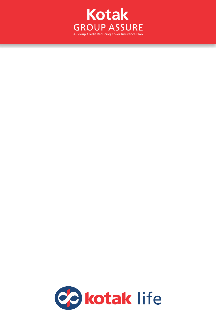

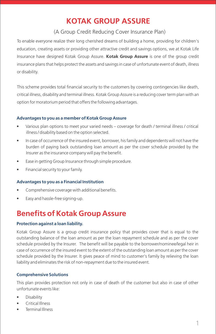# **KOTAK GROUP ASSURE**

# (A Group Credit Reducing Cover Insurance Plan)

To enable everyone realize their long cherished dreams of building a home, providing for children's education, creating assets or providing other attractive credit and savings options, we at Kotak Life Insurance have designed Kotak Group Assure. **Kotak Group Assure** is one of the group credit insurance plans that helps protect the assets and savings in case of unfortunate event of death, illness or disability.

This scheme provides total financial security to the customers by covering contingencies like death, critical illness, disability and terminal illness. Kotak Group Assure is a reducing cover term plan with an option for moratorium period that offers the following advantages.

### **Advantages to you as a member of Kotak Group Assure**

- Various plan options to meet your varied needs coverage for death / terminal illness / critical illness / disability based on the option selected.
- In case of occurrence of the insured event, borrower, his family and dependents will not have the burden of paying back outstanding loan amount as per the cover schedule provided by the Insurer as the insurance company will pay the benefit.
- Ease in getting Group Insurance through simple procedure.
- Financial security to your family.

# **Advantages to you as a Financial Institution**

- Comprehensive coverage with additional benefits.
- Easy and hassle-free signing-up.

# **Benefits of Kotak Group Assure**

#### **Protection against a loan liability.**

Kotak Group Assure is a group credit insurance policy that provides cover that is equal to the outstanding balance of the loan amount as per the loan repayment schedule and as per the cover schedule provided by the Insurer. The benefit will be payable to the borrower/nominee/legal heir in case of occurrence of the insured event to the extent of the outstanding loan amount as per the cover schedule provided by the Insurer. It gives peace of mind to customer's family by relieving the loan liability and eliminates the risk of non-repayment due to the insured event.

# **Comprehensive Solutions**

This plan provides protection not only in case of death of the customer but also in case of other unfortunate events like:

- Disability
- Critical Illness
- Terminal Illness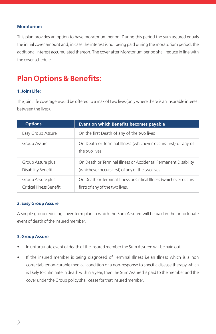### **Moratorium**

This plan provides an option to have moratorium period. During this period the sum assured equals the initial cover amount and, in case the interest is not being paid during the moratorium period, the additional interest accumulated thereon. The cover after Moratorium period shall reduce in line with the cover schedule.

# **Plan Options & Benefits:**

#### **1. Joint Life:**

The joint life coverage would be offered to a max of two lives (only where there is an insurable interest between the lives).

| <b>Options</b>                                | Event on which Benefits becomes payable                                                                              |
|-----------------------------------------------|----------------------------------------------------------------------------------------------------------------------|
| Easy Group Assure                             | On the first Death of any of the two lives                                                                           |
| Group Assure                                  | On Death or Terminal Illness (whichever occurs first) of any of<br>the two lives                                     |
| Group Assure plus<br>Disability Benefit       | On Death or Terminal Illness or Accidental Permanent Disability<br>(whichever occurs first) of any of the two lives. |
| Group Assure plus<br>Critical Illness Benefit | On Death or Terminal Illness or Critical Illness (whichever occurs<br>first) of any of the two lives.                |

#### **2. Easy Group Assure**

A simple group reducing cover term plan in which the Sum Assured will be paid in the unfortunate event of death of the insured member.

# **3. Group Assure**

- In unfortunate event of death of the insured member the Sum Assured will be paid out
- If the insured member is being diagnosed of Terminal Illness i.e.an Illness which is a non correctable/non-curable medical condition or a non-response to specific disease therapy which is likely to culminate in death within a year, then the Sum Assured is paid to the member and the cover under the Group policy shall cease for that insured member.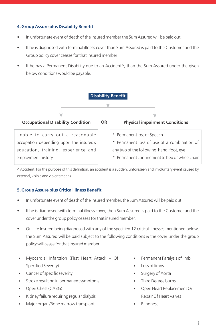# **4. Group Assure plus Disability Benefit**

- **•** In unfortunate event of death of the insured member the Sum Assured will be paid out.
- **•** If he is diagnosed with terminal illness cover than Sum Assured is paid to the Customer and the Group policy cover ceases for that insured member
- **•** If he has a Permanent Disability due to an Accident^, than the Sum Assured under the given below conditions would be payable.



^ Accident: For the purpose of this definition, an accident is a sudden, unforeseen and involuntary event caused by external, visible and violent means.

#### **5. Group Assure plus Critical Illness Benefit**

- In unfortunate event of death of the insured member, the Sum Assured will be paid out
- If he is diagnosed with terminal illness cover, then Sum Assured is paid to the Customer and the cover under the group policy ceases for that insured member.
- On Life Insured being diagnosed with any of the specified 12 critical illnesses mentioned below, the Sum Assured will be paid subject to the following conditions & the cover under the group policy will cease for that insured member.
- Myocardial Infarction (First Heart Attack Of Specified Severity)
- Cancer of specific severity
- Stroke resulting in permanent symptoms
- Open Chest (CABG)
- Kidney failure requiring regular dialysis
- Major organ /Bone marrow transplant
- Permanent Paralysis of limb
- Loss of limbs
- Surgery of Aorta
- Third Degree burns
- Open Heart Replacement Or Repair Of Heart Valves
- **Blindness**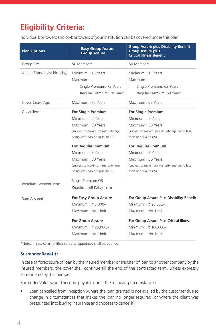# **Eligibility Criteria:**

Individual borrowers and co-borrowers of your institution can be covered under this plan.

| <b>Plan Options</b>           | <b>Easy Group Assure</b><br><b>Group Assure</b>                                                                                                                                                                                                                                         | <b>Group Assure plus Disability Benefit</b><br><b>Group Assure plus</b><br><b>Critical Illness Benefit</b>                                                                                                                                                                       |
|-------------------------------|-----------------------------------------------------------------------------------------------------------------------------------------------------------------------------------------------------------------------------------------------------------------------------------------|----------------------------------------------------------------------------------------------------------------------------------------------------------------------------------------------------------------------------------------------------------------------------------|
| Group Size                    | 50 Members                                                                                                                                                                                                                                                                              | 50 Members                                                                                                                                                                                                                                                                       |
| Age at Entry ^(last birthday) | Minimum: 15 Years<br>Maximum:<br>Single Premium: 73 Years<br>Regular Premium: 70 Years                                                                                                                                                                                                  | Minimum: 18 Years<br>Maximum:<br>Single Premium: 63 Years<br>Regular Premium: 60 Years                                                                                                                                                                                           |
| Cover Cease Age               | Maximum: 75 Years                                                                                                                                                                                                                                                                       | Maximum: 65 Years                                                                                                                                                                                                                                                                |
| Cover Term                    | <b>For Single Premium</b><br>Minimum: 2 Years<br>Maximum: 30 Years<br>(subject to maximum maturity age<br>being less than or equal to 75)<br><b>For Regular Premium</b><br>Minimum: 5 Years<br>Maximum: 30 Years<br>(subject to maximum maturity age<br>being less than or equal to 75) | For Single Premium<br>Minimum: 2 Years<br>Maximum: 30 Years<br>(subject to maximum maturity age being less<br>than or equal to 65)<br><b>For Regular Premium</b><br>Minimum: 5 Years<br>Maximum: 30 Years<br>(subject to maximum maturity age being less<br>than or equal to 65) |
| Premium Payment Term          | Single Premium OR<br>Regular: Full Policy Term                                                                                                                                                                                                                                          |                                                                                                                                                                                                                                                                                  |
| Sum Assured                   | For Easy Group Assure<br>Minimum: ₹5,000/-<br>Maximum: No. Limit<br><b>For Group Assure</b><br>Minimum : ₹ 25,000/-<br>Maximum: No. Limit                                                                                                                                               | For Group Assure Plus Disability Benefit<br>Minimum : ₹ 25,000/-<br>Maximum: No. Limit<br>For Group Assure Plus Critical Illness<br>Minimum : ₹ 100,000/-<br>Maximum: No. Limit                                                                                                  |

^Note:- In case of minor life insured, an appointee shall be required.

## **Surrender Benefit :**

In case of foreclosure of loan by the insured member or transfer of loan to another company by the insured members, the cover shall continue till the end of the contracted term, unless expressly surrendered by the member.

Surrender Value would become payable under the following circumstances:

• Loan cancelled from inception (where the loan granted is not availed by the customer due to change in circumstances that makes the loan no longer required, or where the client was pressurized into buying insurance and chooses to cancel it)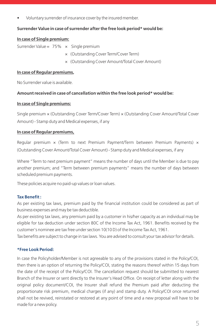• Voluntary surrender of insurance cover by the insured member.

#### **Surrender Value in case of surrender after the free look period\* would be:**

#### **In case of Single premium:**

Surrender Value =  $75\% \times$  Single premium

- × (Outstanding Cover Term/Cover Term)
- × (Outstanding Cover Amount/Total Cover Amount)

#### **In case of Regular premiums,**

No Surrender value is available.

#### **Amount received in case of cancellation within the free look period\* would be:**

#### **In case of Single premiums:**

Single premium × (Outstanding Cover Term/Cover Term) × (Outstanding Cover Amount/Total Cover Amount) - Stamp duty and Medical expenses, if any

#### **In case of Regular premiums,**

Regular premium  $\times$  (Term to next Premium Payment/Term between Premium Payments)  $\times$ (Outstanding Cover Amount/Total Cover Amount) - Stamp duty and Medical expenses, if any

Where "Term to next premium payment" means the number of days until the Member is due to pay another premium; and "Term between premium payments" means the number of days between scheduled premium payments.

These policies acquire no paid-up values or loan values.

#### **Tax Benefit :**

As per existing tax laws, premium paid by the financial institution could be considered as part of business expenses and may be tax deductible.

As per existing tax laws, any premium paid by a customer in his/her capacity as an individual may be eligible for tax deduction under section 80C of the Income Tax Act, 1961. Benefits received by the customer's nominee are tax free under section 10(10 D) of the Income Tax Act, 1961.

Tax benefits are subject to change in tax laws. You are advised to consult your tax advisor for details.

#### **\*Free Look Period:**

In case the Policyholder/Member is not agreeable to any of the provisions stated in the Policy/COI, then there is an option of returning the Policy/COI, stating the reasons thereof within 15 days from the date of the receipt of the Policy/COI. The cancellation request should be submitted to nearest Branch of the Insurer or sent directly to the Insurer's Head Office. On receipt of letter along with the original policy document/COI, the Insurer shall refund the Premium paid after deducting the proportionate risk premium, medical charges (if any) and stamp duty. A Policy/COI once returned shall not be revived, reinstated or restored at any point of time and a new proposal will have to be made for a new policy.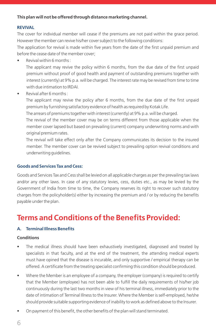## **This plan will not be offered through distance marketing channel.**

### **REVIVAL**

The cover for individual member will cease if the premiums are not paid within the grace period. However the member can revive his/her cover subject to the following conditions:

The application for revival is made within five years from the date of the first unpaid premium and before the cease date of the member cover;

**•** Revival within 6 months :

The applicant may revive the policy within 6 months, from the due date of the first unpaid premium without proof of good health and payment of outstanding premiums together with interest (currently) at 9% p.a. will be charged. The interest rate may be revised from time to time with due intimation to IRDAI.

**•** Revival after 6 months :

The applicant may revive the policy after 6 months, from the due date of the first unpaid premium by furnishing satisfactory evidence of health as required by Kotak Life.

The arrears of premiums together with interest (currently) at 9% p.a. will be charged.

The revival of the member cover may be on terms different from those applicable when the member cover lapsed but based on prevailing (current) company underwriting norms and with original premium rates.

The revival will take effect only after the Company communicates its decision to the insured member. The member cover can be revived subject to prevailing option revival conditions and underwriting guidelines.

## **Goods and Services Tax and Cess:**

Goods and Services Tax and Cess shall be levied on all applicable charges as per the prevailing tax laws and/or any other laws. In case of any statutory levies, cess, duties etc., as may be levied by the Government of India from time to time, the Company reserves its right to recover such statutory charges from the policyholder(s) either by increasing the premium and / or by reducing the benefits payable under the plan.

# **Terms and Conditions of the Benefits Provided:**

# **A. Terminal Illness Benefits**

#### **Conditions**

- The medical illness should have been exhaustively investigated, diagnosed and treated by specialists in that faculty, and at the end of the treatment, the attending medical experts must have opined that the disease is incurable, and only supportive / empirical therapy can be offered. A certificate from the treating specialist confirming this condition should be produced.
- Where the Member is an employee of a company, the employer (company) is required to certify that the Member (employee) has not been able to fulfill the daily requirements of his/her job continuously during the last two months in view of his terminal illness, immediately prior to the date of intimation of Terminal Illness to the Insurer. Where the Member is self-employed, he/she should provide suitable supporting evidence of inability to work as defined above to the Insurer.
- On payment of this benefit, the other benefits of the plan will stand terminated.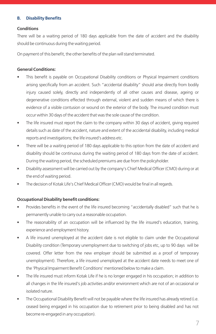#### **B. Disability Benefits**

#### **Conditions**

There will be a waiting period of 180 days applicable from the date of accident and the disability should be continuous during the waiting period.

On payment of this benefit, the other benefits of the plan will stand terminated.

#### **General Conditions:**

- **•** This benefit is payable on Occupational Disability conditions or Physical Impairment conditions arising specifically from an accident. Such "accidental disability" should arise directly from bodily injury caused solely, directly and independently of all other causes and disease, ageing or degenerative conditions effected through external, violent and sudden means of which there is evidence of a visible contusion or wound on the exterior of the body. The insured condition must occur within 30 days of the accident that was the sole cause of the condition.
- The life insured must report the claim to the company within 30 days of accident, giving required details such as date of the accident, nature and extent of the accidental disability, including medical reports and investigations; the life insured's address etc.
- **•** There will be a waiting period of 180 days applicable to this option from the date of accident and disability should be continuous during the waiting period of 180 days from the date of accident. During the waiting period, the scheduled premiums are due from the policyholder.
- **•** Disability assessment will be carried out by the company's Chief Medical Officer (CMO) during or at the end of waiting period.
- **•** The decision of Kotak Life's Chief Medical Officer (CMO) would be final in all regards.

#### **Occupational Disability benefit conditions:**

- **•** Provides benefits in the event of the life insured becoming "accidentally disabled" such that he is permanently unable to carry out a reasonable occupation.
- The reasonability of an occupation will be influenced by the life insured's education, training, experience and employment history.
- **•** A life insured unemployed at the accident date is not eligible to claim under the Occupational Disability condition (Temporary unemployment due to switching of jobs etc, up to 90 days will be covered. Offer letter from the new employer should be submitted as a proof of temporary unemployment). Therefore, a life insured unemployed at the accident date needs to meet one of the 'Physical Impairment Benefit Conditions' mentioned below to make a claim.
- **•** The life insured must inform Kotak Life if he is no longer engaged in his occupation; in addition to all changes in the life insured's job activities and/or environment which are not of an occasional or isolated nature.
- **•** The Occupational Disability Benefit will not be payable where the life insured has already retired (i.e. ceased being engaged in his occupation due to retirement prior to being disabled and has not become re-engaged in any occupation).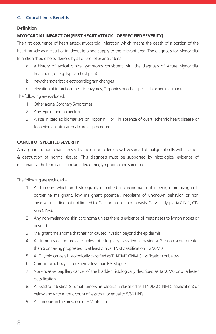# **C. Critical Illness Benefits**

#### **Definition**

#### **MYOCARDIAL INFARCTION (FIRST HEART ATTACK – OF SPECIFIED SEVERITY)**

The first occurrence of heart attack myocardial infarction which means the death of a portion of the heart muscle as a result of inadequate blood supply to the relevant area. The diagnosis for Myocardial Infarction should be evidenced by all of the following criteria:

- a. a history of typical clinical symptoms consistent with the diagnosis of Acute Myocardial Infarction (for e.g. typical chest pain)
- b. new characteristic electrocardiogram changes
- c. elevation of infarction specific enzymes, Troponins or other specific biochemical markers.

The following are excluded:

- 1. Other acute Coronary Syndromes
- 2. Any type of angina pectoris
- 3. A rise in cardiac biomarkers or Troponin T or I in absence of overt ischemic heart disease or following an intra-arterial cardiac procedure

#### **CANCER OF SPECIFIED SEVERITY**

A malignant tumour characterised by the uncontrolled growth & spread of malignant cells with invasion & destruction of normal tissues. This diagnosis must be supported by histological evidence of malignancy. The term cancer includes leukemia, lymphoma and sarcoma.

The following are excluded –

- 1. All tumours which are histologically described as carcinoma in situ, benign, pre-malignant, borderline malignant, low malignant potential, neoplasm of unknown behavior, or non invasive, including but not limited to: Carcinoma in situ of breasts, Cervical dysplasia CIN-1, CIN -2 & CIN-3.
- 2. Any non-melanoma skin carcinoma unless there is evidence of metastases to lymph nodes or beyond
- 3. Malignant melanoma that has not caused invasion beyond the epidermis
- 4. All tumours of the prostate unless histologically classified as having a Gleason score greater than 6 or having progressed to at least clinical TNM classification T2N0M0
- 5. All Thyroid cancers histologically classified as T1N0M0 (TNM Classification) or below
- 6. Chronic lymphocyctic leukaemia less than RAI stage 3
- 7. Non-invasive papillary cancer of the bladder histologically described as TaN0M0 or of a lesser classification
- 8. All Gastro-Intestinal Stromal Tumors histologically classified as T1N0M0 (TNM Classification) or below and with mitotic count of less than or equal to 5/50 HPFs
- 9. All tumours in the presence of HIV infection.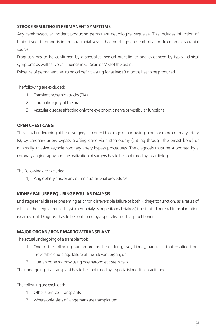#### **STROKE RESULTING IN PERMANENT SYMPTOMS**

Any cerebrovascular incident producing permanent neurological sequelae. This includes infarction of brain tissue, thrombosis in an intracranial vessel, haemorrhage and embolisation from an extracranial source.

Diagnosis has to be confirmed by a specialist medical practitioner and evidenced by typical clinical symptoms as well as typical findings in CT Scan or MRI of the brain.

Evidence of permanent neurological deficit lasting for at least 3 months has to be produced.

The following are excluded:

- 1. Transient ischemic attacks (TIA)
- 2. Traumatic injury of the brain
- 3. Vascular disease affecting only the eye or optic nerve or vestibular functions.

### **OPEN CHEST CABG**

The actual undergoing of heart surgery to correct blockage or narrowing in one or more coronary artery (s), by coronary artery bypass grafting done via a sternotomy (cutting through the breast bone) or minimally invasive keyhole coronary artery bypass procedures. The diagnosis must be supported by a coronary angiography and the realization of surgery has to be confirmed by a cardiologist

The Following are excluded:

1) Angioplasty and/or any other intra-arterial procedures

#### **KIDNEY FAILURE REQUIRING REGULAR DIALYSIS**

End stage renal disease presenting as chronic irreversible failure of both kidneys to function, as a result of which either regular renal dialysis (hemodialysis or peritoneal dialysis) is instituted or renal transplantation is carried out. Diagnosis has to be confirmed by a specialist medical practitioner.

#### **MAJOR ORGAN / BONE MARROW TRANSPLANT**

The actual undergoing of a transplant of:

- 1. One of the following human organs: heart, lung, liver, kidney, pancreas, that resulted from irreversible end-stage failure of the relevant organ, or
- 2. Human bone marrow using haematopoietic stem cells

The undergoing of a transplant has to be confirmed by a specialist medical practitioner.

The following are excluded:

- 1. Other stem-cell transplants
- 2. Where only islets of langerhans are transplanted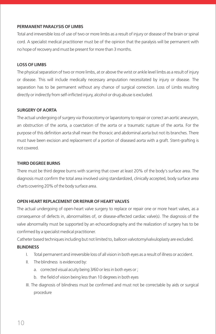#### **PERMANENT PARALYSIS OF LIMBS**

Total and irreversible loss of use of two or more limbs as a result of injury or disease of the brain or spinal cord. A specialist medical practitioner must be of the opinion that the paralysis will be permanent with no hope of recovery and must be present for more than 3 months.

#### **LOSS OF LIMBS**

The physical separation of two or more limbs, at or above the wrist or ankle level limbs as a result of injury or disease. This will include medically necessary amputation necessitated by injury or disease. The separation has to be permanent without any chance of surgical correction. Loss of Limbs resulting directly or indirectly from self-inflicted injury, alcohol or drug abuse is excluded.

#### **SURGERY OF AORTA**

The actual undergoing of surgery via thoracotomy or laparotomy to repair or correct an aortic aneurysm, an obstruction of the aorta, a coarctation of the aorta or a traumatic rupture of the aorta. For the purpose of this definition aorta shall mean the thoracic and abdominal aorta but not its branches. There must have been excision and replacement of a portion of diseased aorta with a graft. Stent-grafting is not covered.

#### **THIRD DEGREE BURNS**

There must be third degree burns with scarring that cover at least 20% of the body's surface area. The diagnosis must confirm the total area involved using standardized, clinically accepted, body surface area charts covering 20% of the body surface area.

#### **OPEN HEART REPLACEMENT OR REPAIR OF HEART VALVES**

The actual undergoing of open-heart valve surgery to replace or repair one or more heart valves, as a consequence of defects in, abnormalities of, or disease-affected cardiac valve(s). The diagnosis of the valve abnormality must be supported by an echocardiography and the realization of surgery has to be confirmed by a specialist medical practitioner.

Catheter based techniques including but not limited to, balloon valvotomy/valvuloplasty are excluded.

#### **BLINDNESS**

- I. Total permanent and irreversible loss of all vision in both eyes as a result of illness or accident.
- II. The blindness is evidenced by:
	- a. corrected visual acuity being 3/60 or less in both eyes or ;
	- b. the field of vision being less than 10 degrees in both eyes
- III. The diagnosis of blindness must be confirmed and must not be correctable by aids or surgical procedure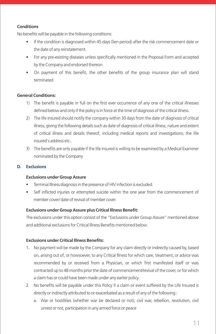## **Conditions**

No benefits will be payable in the following conditions:

- **•** If the condition is diagnosed within 45 days (lien period) after the risk commencement date or the date of any reinstatement.
- **•** For any pre-existing diseases unless specifically mentioned in the Proposal Form and accepted by the Company and endorsed thereon.
- **•** On payment of this benefit, the other benefits of the group insurance plan will stand terminated

#### **General Conditions:**

- 1) The benefit is payable in full on the first ever occurrence of any one of the critical illnesses defined below and only if the policy is in force at the time of diagnosis of the critical illness.
- 2) The life insured should notify the company within 30 days from the date of diagnosis of critical illness; giving the following details such as date of diagnosis of critical illness, nature and extent of critical illness and details thereof, including medical reports and investigations; the life insured's address etc..
- 3) The benefits are only payable if the life insured is willing to be examined by a Medical Examiner nominated by the Company

# **D. Exclusions**

#### **Exclusions under Group Assure**

- Terminal Illness diagnosis in the presence of HIV infection is excluded.
- Self inflicted injuries or attempted suicide within the one year from the commencement of member cover/ date of revival of member cover.

# **Exclusions under Group Assure plus Critical Illness Benefit:**

The exclusions under this option consist of the "Exclusions under Group Assure" mentioned above and additional exclusions for Critical Illness Benefits mentioned below:

#### **Exclusions under Critical Illness Benefits:**

- 1. No payment will be made by the Company for any claim directly or indirectly caused by, based on, arising out of, or howsoever, to any Critical Illness for which care, treatment, or advice was recommended by or received from a Physician, or which first manifested itself or was contracted up to 48 months prior the date of commencement/revival of the cover, or for which a claim has or could have been made under any earlier policy.
- 2. No benefits will be payable under this Policy if a claim or event suffered by the Life Insured is directly or indirectly attributed to or exacerbated as a result of any of the following :
	- a. War or hostilities (whether war be declared or not), civil war, rebellion, revolution, civil unrest or riot, participation in any armed force or peace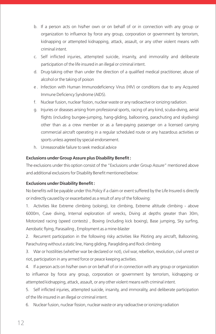- b. If a person acts on his/her own or on behalf of or in connection with any group or organization to influence by force any group, corporation or government by terrorism, kidnapping or attempted kidnapping, attack, assault, or any other violent means with criminal intent.
- c. Self inflicted injuries, attempted suicide, insanity, and immorality and deliberate participation of the life insured in an illegal or criminal intent.
- d. Drug-taking other than under the direction of a qualified medical practitioner, abuse of alcohol or the taking of poison
- e . Infection with Human Immunodeficiency Virus (HIV) or conditions due to any Acquired Immune Deficiency Syndrome (AIDS).
- f. Nuclear fusion, nuclear fission, nuclear waste or any radioactive or ionizing radiation.
- g. Injuries or diseases arising from professional sports, racing of any kind, scuba-diving, aerial flights (including bungee-jumping, hang-gliding, ballooning, parachuting and skydiving) other than as a crew member or as a fare-paying passenger on a licensed carrying commercial aircraft operating in a regular scheduled route or any hazardous activities or sports unless agreed by special endorsement.
- h. Unreasonable failure to seek medical advice

### **Exclusions under Group Assure plus Disability Benefit :**

The exclusions under this option consist of the "Exclusions under Group Assure" mentioned above and additional exclusions for Disability Benefit mentioned below:

#### **Exclusions under Disability Benefit :**

No benefits will be payable under this Policy if a claim or event suffered by the Life Insured is directly or indirectly caused by or exacerbated as a result of any of the following:

1. Activities like Extreme climbing (soloing), Ice climbing, Extreme altitude climbing - above 6000m, Cave diving, Internal exploration of wrecks, Diving at depths greater than 30m, Motorized racing (speed contests) , Boxing (including kick boxing), Base jumping, Sky surfing, Aerobatic flying, Parasailing , Employment as a mine-blaster

2. Recurrent participation in the following risky activities like Piloting any aircraft, Ballooning, Parachuting without a static line, Hang gliding, Paragliding and Rock climbing

3. War or hostilities (whether war be declared or not), civil war, rebellion, revolution, civil unrest or riot, participation in any armed force or peace keeping activities.

4. If a person acts on his/her own or on behalf of or in connection with any group or organization to influence by force any group, corporation or government by terrorism, kidnapping or attempted kidnapping, attack, assault, or any other violent means with criminal intent.

5. Self inflicted injuries, attempted suicide, insanity, and immorality, and deliberate participation of the life insured in an illegal or criminal intent.

6. Nuclear fusion, nuclear fission, nuclear waste or any radioactive or ionizing radiation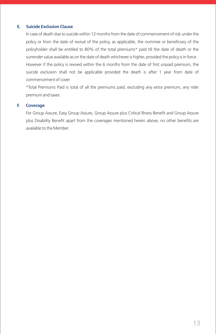#### **E. Suicide Exclusion Clause**

In case of death due to suicide within 12 months from the date of commencement of risk under the policy or from the date of revival of the policy, as applicable, the nominee or beneficiary of the policyholder shall be entitled to 80% of the total premiums\* paid till the date of death or the surrender value available as on the date of death whichever is higher, provided the policy is in force. However if the policy is revived within the 6 months from the date of first unpaid premium, the suicide exclusion shall not be applicable provided the death is after 1 year from date of commencement of cover

\*Total Premiums Paid is total of all the premiums paid, excluding any extra premium, any rider premium and taxes

#### **F. Coverage**

For Group Assure, Easy Group Assure, Group Assure plus Critical Illness Benefit and Group Assure plus Disability Benefit apart from the coverages mentioned herein above, no other benefits are available to the Member.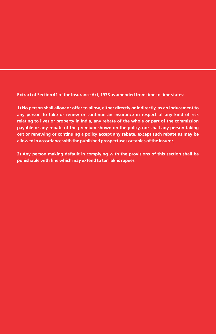**Extract of Section 41 of the Insurance Act, 1938 as amended from time to time states:**

**1) No person shall allow or offer to allow, either directly or indirectly, as an inducement to any person to take or renew or continue an insurance in respect of any kind of risk relating to lives or property in India, any rebate of the whole or part of the commission payable or any rebate of the premium shown on the policy, nor shall any person taking out or renewing or continuing a policy accept any rebate, except such rebate as may be allowed in accordance with the published prospectuses or tables of the insurer.**

**2) Any person making default in complying with the provisions of this section shall be punishable with fine which may extend to ten lakhs rupees**